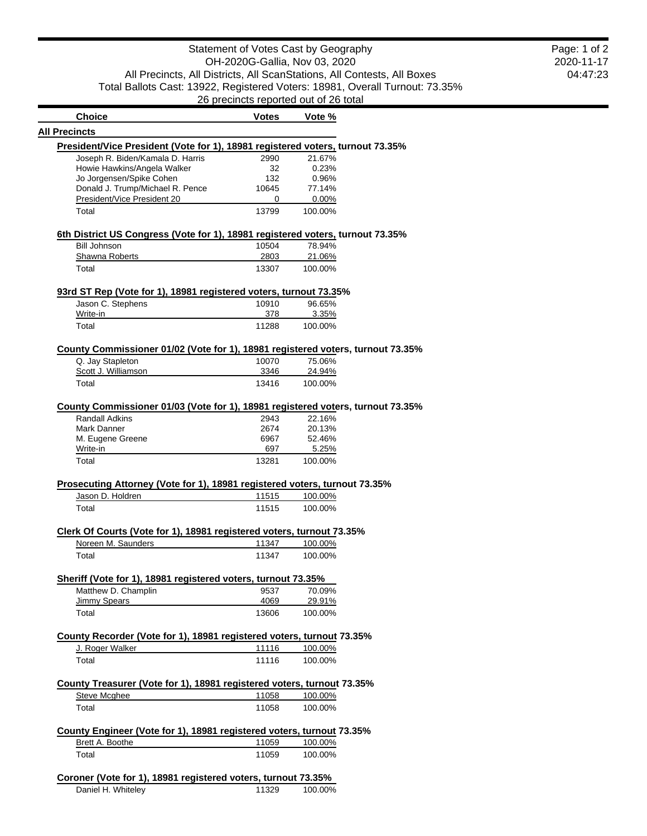2020-11-17 04:47:23 Page: 1 of 2

| <b>Choice</b>                                                                   | <b>Votes</b>  | Vote %             |
|---------------------------------------------------------------------------------|---------------|--------------------|
| <b>All Precincts</b>                                                            |               |                    |
| President/Vice President (Vote for 1), 18981 registered voters, turnout 73.35%  |               |                    |
| Joseph R. Biden/Kamala D. Harris                                                | 2990          | 21.67%             |
| Howie Hawkins/Angela Walker                                                     | 32            | 0.23%              |
| Jo Jorgensen/Spike Cohen<br>Donald J. Trump/Michael R. Pence                    | 132           | 0.96%              |
| President/Vice President 20                                                     | 10645<br>0    | 77.14%<br>$0.00\%$ |
| Total                                                                           | 13799         | 100.00%            |
|                                                                                 |               |                    |
| 6th District US Congress (Vote for 1), 18981 registered voters, turnout 73.35%  |               | 78.94%             |
| <b>Bill Johnson</b><br>Shawna Roberts                                           | 10504<br>2803 | 21.06%             |
| Total                                                                           | 13307         | 100.00%            |
| 93rd ST Rep (Vote for 1), 18981 registered voters, turnout 73.35%               |               |                    |
| Jason C. Stephens                                                               | 10910         | 96.65%             |
| Write-in                                                                        | 378           | 3.35%              |
| Total                                                                           | 11288         | 100.00%            |
| County Commissioner 01/02 (Vote for 1), 18981 registered voters, turnout 73.35% |               |                    |
| Q. Jay Stapleton                                                                | 10070         | 75.06%             |
| Scott J. Williamson                                                             | 3346          | 24.94%             |
| Total                                                                           | 13416         | 100.00%            |
|                                                                                 |               |                    |
| County Commissioner 01/03 (Vote for 1), 18981 registered voters, turnout 73.35% |               |                    |
| <b>Randall Adkins</b>                                                           | 2943          | 22.16%             |
| Mark Danner                                                                     | 2674          | 20.13%             |
| M. Eugene Greene                                                                | 6967          | 52.46%             |
| Write-in                                                                        | 697           | 5.25%              |
| Total                                                                           | 13281         | 100.00%            |
|                                                                                 |               |                    |
| Prosecuting Attorney (Vote for 1), 18981 registered voters, turnout 73.35%      |               |                    |
| Jason D. Holdren                                                                | 11515         | 100.00%            |
| Total                                                                           | 11515         | 100.00%            |
| Clerk Of Courts (Vote for 1), 18981 registered voters, turnout 73.35%           |               |                    |
| Noreen M. Saunders                                                              | 11347         | 100.00%            |
| Total                                                                           | 11347         | 100.00%            |
| Sheriff (Vote for 1), 18981 registered voters, turnout 73.35%                   |               |                    |
| Matthew D. Champlin                                                             | 9537          | 70.09%             |
| <b>Jimmy Spears</b>                                                             | 4069          | 29.91%             |
| Total                                                                           | 13606         | 100.00%            |
| County Recorder (Vote for 1), 18981 registered voters, turnout 73.35%           |               |                    |
| J. Roger Walker                                                                 | 11116         | 100.00%            |
| Total                                                                           | 11116         | 100.00%            |
|                                                                                 |               |                    |
| County Treasurer (Vote for 1), 18981 registered voters, turnout 73.35%          |               |                    |
| Steve Mcghee                                                                    | 11058         | 100.00%            |
| Total                                                                           | 11058         | 100.00%            |
| County Engineer (Vote for 1), 18981 registered voters, turnout 73.35%           |               |                    |
| Brett A. Boothe                                                                 | 11059         | 100.00%            |
| Total                                                                           | 11059         | 100.00%            |
|                                                                                 |               |                    |
| Coroner (Vote for 1), 18981 registered voters, turnout 73.35%                   |               |                    |
| Daniel H. Whiteley                                                              | 11329         | 100.00%            |